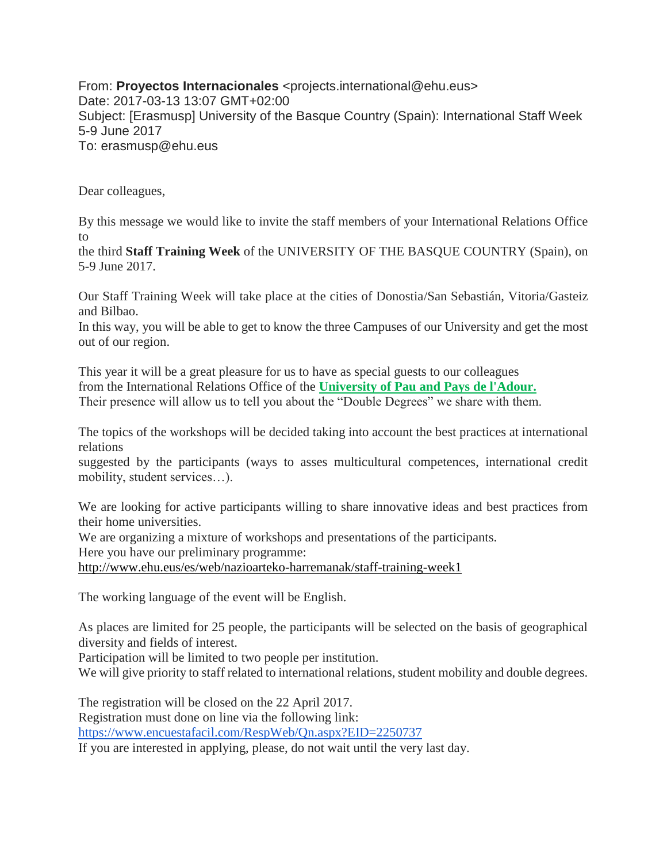From: **Proyectos Internacionales** <projects.international@ehu.eus> Date: 2017-03-13 13:07 GMT+02:00 Subject: [Erasmusp] University of the Basque Country (Spain): International Staff Week 5-9 June 2017 To: erasmusp@ehu.eus

Dear colleagues,

By this message we would like to invite the staff members of your International Relations Office to

the third **Staff Training Week** of the UNIVERSITY OF THE BASQUE COUNTRY (Spain), on 5-9 June 2017.

Our Staff Training Week will take place at the cities of Donostia/San Sebastián, Vitoria/Gasteiz and Bilbao.

In this way, you will be able to get to know the three Campuses of our University and get the most out of our region.

This year it will be a great pleasure for us to have as special guests to our colleagues from the International Relations Office of the **University of Pau and Pays de l'Adour.** Their presence will allow us to tell you about the "Double Degrees" we share with them.

The topics of the workshops will be decided taking into account the best practices at international relations

suggested by the participants (ways to asses multicultural competences, international credit mobility, student services…).

We are looking for active participants willing to share innovative ideas and best practices from their home universities.

We are organizing a mixture of workshops and presentations of the participants.

Here you have our preliminary programme:

<http://www.ehu.eus/es/web/nazioarteko-harremanak/staff-training-week1>

The working language of the event will be English.

As places are limited for 25 people, the participants will be selected on the basis of geographical diversity and fields of interest.

Participation will be limited to two people per institution.

We will give priority to staff related to international relations, student mobility and double degrees.

The registration will be closed on the 22 April 2017. Registration must done on line via the following link: <https://www.encuestafacil.com/RespWeb/Qn.aspx?EID=2250737>

If you are interested in applying, please, do not wait until the very last day.